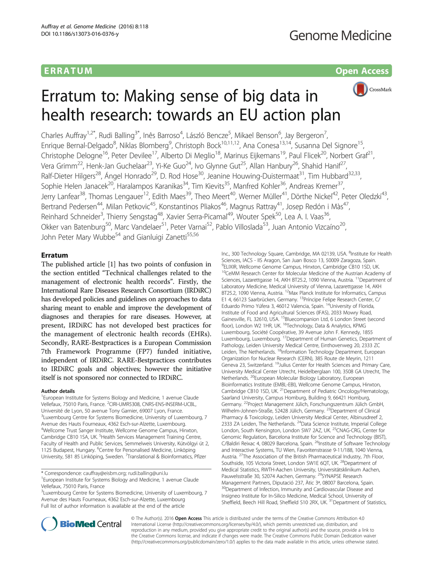# ERRA TUM Open Access



# Erratum to: Making sense of big data in health research: towards an EU action plan

Charles Auffray<sup>1,2\*</sup>, Rudi Balling<sup>3\*</sup>, Inês Barroso<sup>4</sup>, László Bencze<sup>5</sup>, Mikael Benson<sup>6</sup>, Jay Bergeron<sup>7</sup> , Enrique Bernal-Delgado<sup>8</sup>, Niklas Blomberg<sup>9</sup>, Christoph Bock<sup>10,11,12</sup>, Ana Conesa<sup>13,14</sup>, Susanna Del Signore<sup>15</sup>, Christophe Delogne<sup>16</sup>, Peter Devilee<sup>17</sup>, Alberto Di Meglio<sup>18</sup>, Marinus Eijkemans<sup>19</sup>, Paul Flicek<sup>20</sup>, Norbert Graf<sup>21</sup>, Vera Grimm<sup>22</sup>, Henk-Jan Guchelaar<sup>23</sup>, Yi-Ke Guo<sup>24</sup>, Ivo Glynne Gut<sup>25</sup>, Allan Hanbury<sup>26</sup>, Shahid Hanif<sup>27</sup>, Ralf-Dieter Hilgers<sup>28</sup>, Ángel Honrado<sup>29</sup>, D. Rod Hose<sup>30</sup>, Jeanine Houwing-Duistermaat<sup>31</sup>, Tim Hubbard<sup>32,33</sup>, Sophie Helen Janacek<sup>20</sup>, Haralampos Karanikas<sup>34</sup>, Tim Kievits<sup>35</sup>, Manfred Kohler<sup>36</sup>, Andreas Kremer<sup>37</sup>, Jerry Lanfear<sup>38</sup>, Thomas Lengauer<sup>12</sup>, Edith Maes<sup>39</sup>, Theo Meert<sup>40</sup>, Werner Müller<sup>41</sup>, Dörthe Nickel<sup>42</sup>, Peter Oledzki<sup>43</sup>, Bertrand Pedersen<sup>44</sup>, Milan Petkovic<sup>45</sup>, Konstantinos Pliakos<sup>46</sup>, Magnus Rattray<sup>41</sup>, Josep Redón i Màs<sup>47</sup>, Reinhard Schneider<sup>3</sup>, Thierry Sengstag<sup>48</sup>, Xavier Serra-Picamal<sup>49</sup>, Wouter Spek<sup>50</sup>, Lea A. I. Vaas<sup>36</sup>, Okker van Batenburg<sup>50</sup>, Marc Vandelaer<sup>51</sup>, Peter Varnai<sup>52</sup>, Pablo Villoslada<sup>53</sup>, Juan Antonio Vizcaíno<sup>20</sup>, John Peter Mary Wubbe<sup>54</sup> and Gianluigi Zanetti<sup>55,56</sup>

# Erratum

The published article [\[1](#page-1-0)] has two points of confusion in the section entitled "Technical challenges related to the management of electronic health records". Firstly, the International Rare Diseases Research Consortium (IRDiRC) has developed policies and guidelines on approaches to data sharing meant to enable and improve the development of diagnoses and therapies for rare diseases. However, at present, IRDiRC has not developed best practices for the management of electronic health records (EHRs). Secondly, RARE-Bestpractices is a European Commission 7th Framework Programme (FP7) funded initiative, independent of IRDiRC. RARE-Bestpractices contributes to IRDiRC goals and objectives; however the initiative itself is not sponsored nor connected to IRDiRC.

### Author details

<sup>1</sup> European Institute for Systems Biology and Medicine, 1 avenue Claude Vellefaux, 75010 Paris, France. <sup>2</sup>CIRI-UMR5308, CNRS-ENS-INSERM-UCBL, Université de Lyon, 50 avenue Tony Garnier, 69007 Lyon, France. <sup>3</sup>Luxembourg Centre for Systems Biomedicine, University of Luxembourg, 7 Avenue des Hauts Fourneaux, 4362 Esch-sur-Alzette, Luxembourg. 4 Wellcome Trust Sanger Institute, Wellcome Genome Campus, Hinxton, Cambridge CB10 1SA, UK. <sup>5</sup>Health Services Management Training Centre, Faculty of Health and Public Services, Semmelweis University, Kútvölgyi út 2, 1125 Budapest, Hungary. <sup>6</sup>Centre for Personalised Medicine, Linköping University, 581 85 Linköping, Sweden. <sup>7</sup>Translational & Bioinformatics, Pfizer

\* Correspondence: [cauffray@eisbm.org;](mailto:cauffray@eisbm.org) [rudi.balling@uni.lu](mailto:rudi.balling@uni.lu) <sup>1</sup>

<sup>3</sup>Luxembourg Centre for Systems Biomedicine, University of Luxembourg, 7 Avenue des Hauts Fourneaux, 4362 Esch-sur-Alzette, Luxembourg Full list of author information is available at the end of the article

Inc., 300 Technology Square, Cambridge, MA 02139, USA. <sup>8</sup>Institute for Health Sciences, IACS - IIS Aragon, San Juan Bosco 13, 50009 Zaragoza, Spain. 9 ELIXIR, Wellcome Genome Campus, Hinxton, Cambridge CB10 1SD, UK. <sup>10</sup>CeMM Research Center for Molecular Medicine of the Austrian Academy of Sciences, Lazarettgasse 14, AKH BT25.2, 1090 Vienna, Austria. <sup>11</sup>Department of Laboratory Medicine, Medical University of Vienna, Lazarettgasse 14, AKH BT25.2, 1090 Vienna, Austria. 12Max Planck Institute for Informatics, Campus E1 4, 66123 Saarbrücken, Germany. 13Príncipe Felipe Research Center, C/ Eduardo Primo Yúfera 3, 46012 Valencia, Spain. 14University of Florida, Institute of Food and Agricultural Sciences (IFAS), 2033 Mowry Road, Gainesville, FL 32610, USA. <sup>15</sup>Bluecompanion Ltd, 6 London Street (second floor), London W2 1HR, UK. 16Technology, Data & Analytics, KPMG Luxembourg, Société Coopérative, 39 Avenue John F. Kennedy, 1855 Luxembourg, Luxembourg. 17Department of Human Genetics, Department of Pathology, Leiden University Medical Centre, Einthovenweg 20, 2333 ZC Leiden, The Netherlands. <sup>18</sup>Information Technology Department, European Organization for Nuclear Research (CERN), 385 Route de Meyrin, 1211 Geneva 23, Switzerland. 19Julius Center for Health Sciences and Primary Care, University Medical Center Utrecht, Heidelberglaan 100, 3508 GA Utrecht, The Netherlands. 20European Molecular Biology Laboratory, European Bioinformatics Institute (EMBL-EBI), Wellcome Genome Campus, Hinxton, Cambridge CB10 1SD, UK. 21Department of Pediatric Oncology/Hematology, Saarland University, Campus Homburg, Building 9, 66421 Homburg, Germany. 22Project Management Jülich, Forschungszentrum Jülich GmbH, Wilhelm-Johnen-Straße, 52428 Jülich, Germany. 23Department of Clinical Pharmacy & Toxicology, Leiden University Medical Center, Albinusdreef 2, 2333 ZA Leiden, The Netherlands. <sup>24</sup>Data Science Institute, Imperial College London, South Kensington, London SW7 2AZ, UK. 25CNAG-CRG, Center for Genomic Regulation, Barcelona Institute for Science and Technology (BIST), C/Baldiri Reixac 4, 08029 Barcelona, Spain. <sup>26</sup>Institute of Software Technology and Interactive Systems, TU Wien, Favoritenstrasse 9-11/188, 1040 Vienna, Austria. 27The Association of the British Pharmaceutical Industry, 7th Floor, Southside, 105 Victoria Street, London SW1E 6QT, UK.<sup>28</sup>Department of Medical Statistics, RWTH-Aachen University, Universitätsklinikum Aachen, Pauwelsstraße 30, 52074 Aachen, Germany. <sup>29</sup>SYNAPSE Research Management Partners, Diputació 237, Àtic 3ª, 08007 Barcelona, Spain. <sup>30</sup>Department of Infection, Immunity and Cardiovascular Disease and Insigneo Institute for In-Silico Medicine, Medical School, University of Sheffield, Beech Hill Road, Sheffield S10 2RX, UK. <sup>31</sup> Department of Statistics,



© The Author(s). 2016 **Open Access** This article is distributed under the terms of the Creative Commons Attribution 4.0 International License [\(http://creativecommons.org/licenses/by/4.0/](http://creativecommons.org/licenses/by/4.0/)), which permits unrestricted use, distribution, and reproduction in any medium, provided you give appropriate credit to the original author(s) and the source, provide a link to the Creative Commons license, and indicate if changes were made. The Creative Commons Public Domain Dedication waiver [\(http://creativecommons.org/publicdomain/zero/1.0/](http://creativecommons.org/publicdomain/zero/1.0/)) applies to the data made available in this article, unless otherwise stated.

<sup>&</sup>lt;sup>1</sup> European Institute for Systems Biology and Medicine, 1 avenue Claude Vellefaux, 75010 Paris, France